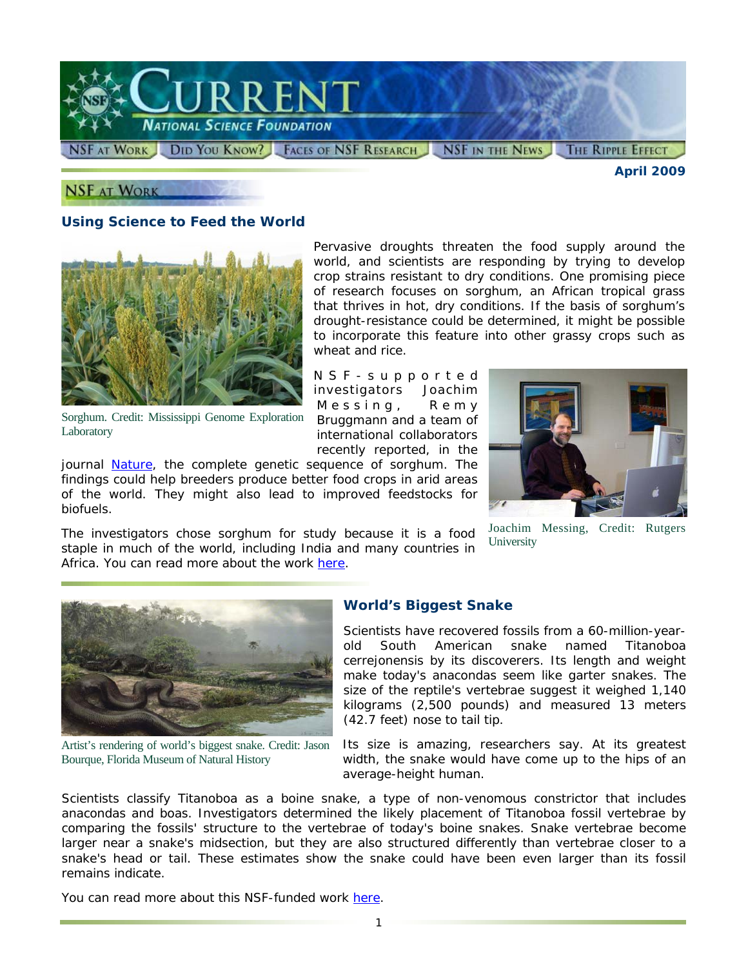

**NSF AT WORK** 

biofuels.

*April 2009* 

# **Using Science to Feed the World**



Sorghum. Credit: Mississippi Genome Exploration Laboratory

recently reported, in the journal *[Nature](http://www.nsf.gov/cgi-bin/goodbye?http://www.nature.com/nature/journal/v457/n7229/full/nature07723.html)*, the complete genetic sequence of sorghum. The findings could help breeders produce better food crops in arid areas of the world. They might also lead to improved feedstocks for

 The investigators chose sorghum for study because it is a food staple in much of the world, including India and many countries in Africa. You can read more about the work [here.](http://www.nsf.gov/cgi-bin/goodbye?http://news.rutgers.edu/medrel/research/sequencing-of-sorghu-20090127)

Pervasive droughts threaten the food supply around the world, and scientists are responding by trying to develop crop strains resistant to dry conditions. One promising piece of research focuses on sorghum, an African tropical grass that thrives in hot, dry conditions. If the basis of sorghum's drought-resistance could be determined, it might be possible to incorporate this feature into other grassy crops such as wheat and rice.

NSF-supported investigators Joachim Messing, Remy Bruggmann and a team of international collaborators



Joachim Messing, Credit: Rutgers **University** 



Artist's rendering of world's biggest snake. Credit: Jason Bourque, Florida Museum of Natural History

### **World's Biggest Snake**

Scientists have recovered fossils from a 60-million-yearold South American snake named *Titanoboa cerrejonensis* by its discoverers. Its length and weight make today's anacondas seem like garter snakes. The size of the reptile's vertebrae suggest it weighed 1,140 kilograms (2,500 pounds) and measured 13 meters (42.7 feet) nose to tail tip.

Its size is amazing, researchers say. At its greatest width, the snake would have come up to the hips of an average-height human.

 larger near a snake's midsection, but they are also structured differently than vertebrae closer to a snake's head or tail. These estimates show the snake could have been even larger than its fossil Scientists classify *Titanoboa* as a boine snake, a type of non-venomous constrictor that includes anacondas and boas. Investigators determined the likely placement of *Titanoboa* fossil vertebrae by comparing the fossils' structure to the vertebrae of today's boine snakes. Snake vertebrae become remains indicate.

You can read more about this NSF-funded work [here.](http://www.nsf.gov/news/news_summ.jsp?cntn_id=114112)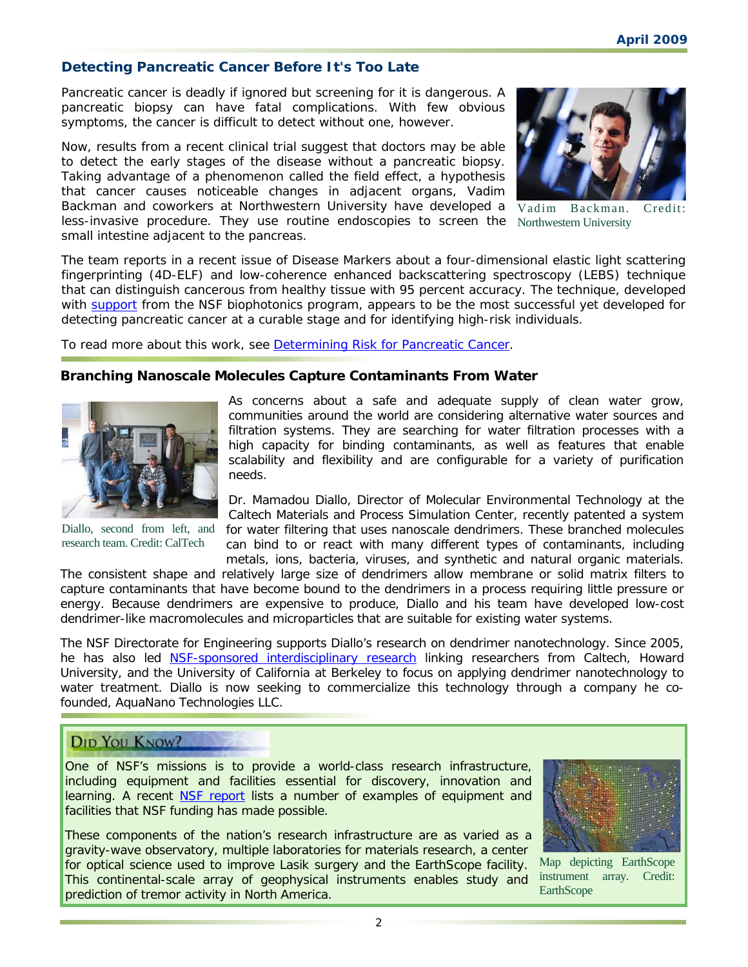# **Detecting Pancreatic Cancer Before It's Too Late**

Pancreatic cancer is deadly if ignored but screening for it is dangerous. A pancreatic biopsy can have fatal complications. With few obvious symptoms, the cancer is difficult to detect without one, however.

Now, results from a recent clinical trial suggest that doctors may be able to detect the early stages of the disease without a pancreatic biopsy. Taking advantage of a phenomenon called the field effect, a hypothesis that cancer causes noticeable changes in adjacent organs, Vadim Backman and coworkers at Northwestern University have developed a less-invasive procedure. They use routine endoscopies to screen the Northwestern University small intestine adjacent to the pancreas.



Vadim Backman. Credit:

detecting pancreatic cancer at a curable stage and for identifying high-risk individuals.<br>To read more about this work, see <u>Determining Risk for Pancreatic Cancer</u>. The team reports in a recent issue of *Disease Markers* about a four-dimensional elastic light scattering fingerprinting (4D-ELF) and low-coherence enhanced backscattering spectroscopy (LEBS) technique that can distinguish cancerous from healthy tissue with 95 percent accuracy. The technique, developed with [support](http://www.nsf.gov/awardsearch/showAward.do?AwardNumber=0733868) from the NSF biophotonics program, appears to be the most successful yet developed for

### **Branching Nanoscale Molecules Capture Contaminants From Water**



Diallo, second from left, and research team. Credit: CalTech

As concerns about a safe and adequate supply of clean water grow, communities around the world are considering alternative water sources and filtration systems. They are searching for water filtration processes with a high capacity for binding contaminants, as well as features that enable scalability and flexibility and are configurable for a variety of purification needs.

Dr. Mamadou Diallo, Director of Molecular Environmental Technology at the Caltech Materials and Process Simulation Center, recently patented a system for water filtering that uses nanoscale dendrimers. These branched molecules can bind to or react with many different types of contaminants, including metals, ions, bacteria, viruses, and synthetic and natural organic materials.

 capture contaminants that have become bound to the dendrimers in a process requiring little pressure or The consistent shape and relatively large size of dendrimers allow membrane or solid matrix filters to energy. Because dendrimers are expensive to produce, Diallo and his team have developed low-cost dendrimer-like macromolecules and microparticles that are suitable for existing water systems.

The NSF Directorate for Engineering supports Diallo's research on dendrimer nanotechnology. Since 2005, he has also led NSF-s[ponsored interdisciplinary research linking](http://www.nsf.gov/awardsearch/showAward.do?AwardNumber=0506951) researchers from Caltech, Howard University, and the University of California at Berkeley to focus on applying dendrimer nanotechnology to water treatment. Diallo is now seeking to commercialize this technology through a company he cofounded, AquaNano Technologies LLC.

# **DID YOU KNOW?**

One of NSF's missions is to provide a world-class research infrastructure, including equipment and facilities essential for discovery, innovation and learning. A recent [NSF report](http://www.nsf.gov/news/nsf09013/index.jsp) lists a number of examples of equipment and facilities that NSF funding has made possible.

These components of the nation's research infrastructure are as varied as a gravity-wave observatory, multiple laboratories for materials research, a center for optical science used to improve Lasik surgery and the EarthScope facility. This continental-scale array of geophysical instruments enables study and prediction of tremor activity in North America.



 Map depicting EarthScope instrument array. Credit: **EarthScope**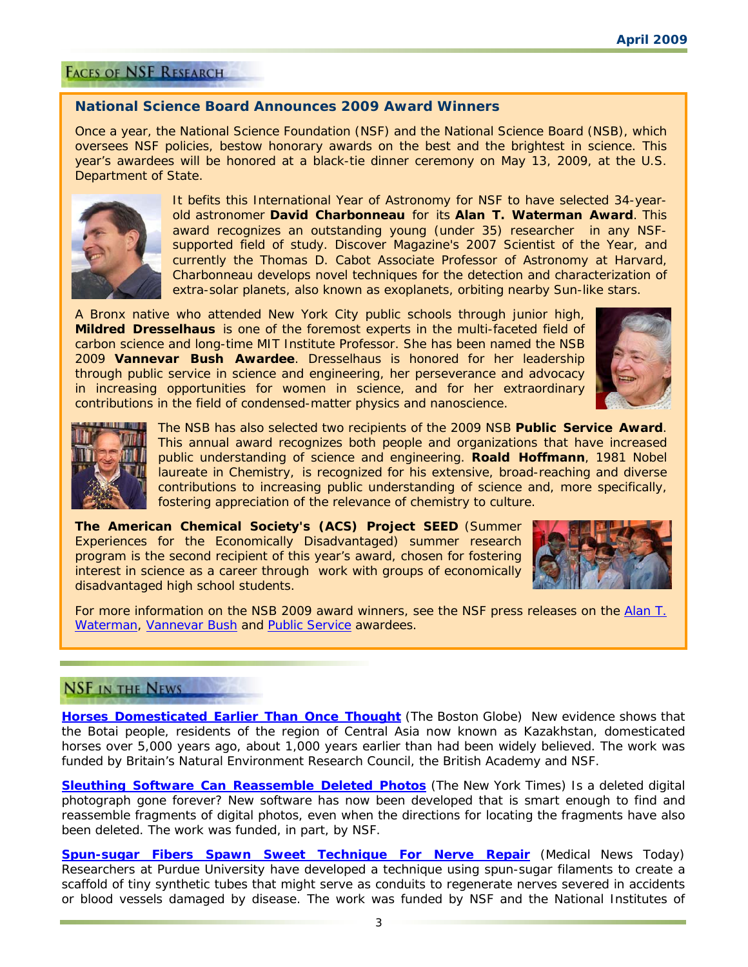# **FACES OF NSF RESEARCH**

### **National Science Board Announces 2009 Award Winners**

Once a year, the National Science Foundation (NSF) and the National Science Board (NSB), which oversees NSF policies, bestow honorary awards on the best and the brightest in science. This year's awardees will be honored at a black-tie dinner ceremony on May 13, 2009, at the U.S. Department of State.



It befits this International Year of Astronomy for NSF to have selected 34-yearold astronomer **David Charbonneau** for its **Alan T. Waterman Award**. This award recognizes an outstanding young (under 35) researcher in any NSFsupported field of study. *Discover* Magazine's 2007 Scientist of the Year, and currently the Thomas D. Cabot Associate Professor of Astronomy at Harvard, Charbonneau develops novel techniques for the detection and characterization of extra-solar planets, also known as exoplanets, orbiting nearby Sun-like stars.

A Bronx native who attended New York City public schools through junior high, **Mildred Dresselhaus** is one of the foremost experts in the multi-faceted field of carbon science and long-time MIT Institute Professor. She has been named the NSB 2009 **Vannevar Bush Awardee**. Dresselhaus is honored for her leadership through public service in science and engineering, her perseverance and advocacy in increasing opportunities for women in science, and for her extraordinary contributions in the field of condensed-matter physics and nanoscience.





The NSB has also selected two recipients of the 2009 NSB **Public Service Award**. This annual award recognizes both people and organizations that have increased public understanding of science and engineering. **Roald Hoffmann**, 1981 Nobel laureate in Chemistry, is recognized for his extensive, broad-reaching and diverse contributions to increasing public understanding of science and, more specifically, fostering appreciation of the relevance of chemistry to culture.

 interest in science as a career through work with groups of economically **The American Chemical Society's (ACS) Project SEED** (Summer Experiences for the Economically Disadvantaged) summer research program is the second recipient of this year's award, chosen for fostering disadvantaged high school students.



For more information on the NSB 2009 award winners, see the NSF press releases on the Alan T. [Waterman,](http://www.nsf.gov/news/news_summ.jsp?cntn_id=114304) [Vannevar Bush](http://www.nsf.gov/news/news_summ.jsp?cntn_id=114329) and [Public Service](http://www.nsf.gov/news/news_summ.jsp?cntn_id=114332) awardees.

# **NSF IN THE NEWS**

**[Horses Domesticated Earlier Than Once Thought](http://www.nsf.gov/cgi-bin/goodbye?http://www.boston.com/news/science/articles/2009/03/06/horses_first_domesticated_5000_years_ago/)** (*The Boston Globe)* New evidence shows that the Botai people, residents of the region of Central Asia now known as Kazakhstan, domesticated horses over 5,000 years ago, about 1,000 years earlier than had been widely believed. The work was funded by Britain's Natural Environment Research Council, the British Academy and NSF.

**[Sleuthing Software Can Reassemble Deleted Photos](http://www.nsf.gov/cgi-bin/goodbye?http://www.nytimes.com/2009/03/01/business/01novel.html?_r=1)** (*The New York Times)* Is a deleted digital photograph gone forever? New software has now been developed that is smart enough to find and reassemble fragments of digital photos, even when the directions for locating the fragments have also been deleted. The work was funded, in part, by NSF.

**[Spun-sugar Fibers Spawn Sweet Technique For Nerve Repair](http://www.nsf.gov/cgi-bin/goodbye?http://www.medicalnewstoday.com/articles/140623.php)** (*Medical News Today)*  Researchers at Purdue University have developed a technique using spun-sugar filaments to create a scaffold of tiny synthetic tubes that might serve as conduits to regenerate nerves severed in accidents or blood vessels damaged by disease. The work was funded by NSF and the National Institutes of